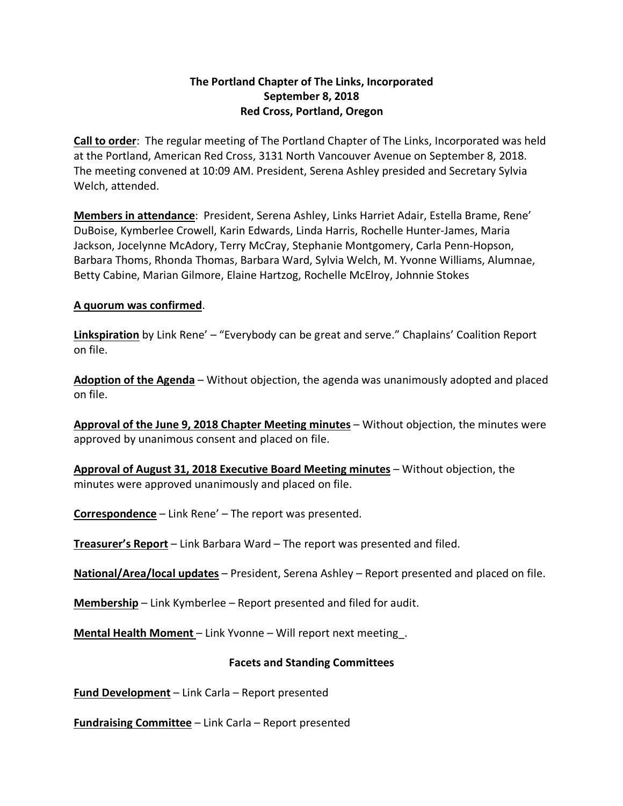# **The Portland Chapter of The Links, Incorporated September 8, 2018 Red Cross, Portland, Oregon**

**Call to order**: The regular meeting of The Portland Chapter of The Links, Incorporated was held at the Portland, American Red Cross, 3131 North Vancouver Avenue on September 8, 2018. The meeting convened at 10:09 AM. President, Serena Ashley presided and Secretary Sylvia Welch, attended.

**Members in attendance**: President, Serena Ashley, Links Harriet Adair, Estella Brame, Rene' DuBoise, Kymberlee Crowell, Karin Edwards, Linda Harris, Rochelle Hunter-James, Maria Jackson, Jocelynne McAdory, Terry McCray, Stephanie Montgomery, Carla Penn-Hopson, Barbara Thoms, Rhonda Thomas, Barbara Ward, Sylvia Welch, M. Yvonne Williams, Alumnae, Betty Cabine, Marian Gilmore, Elaine Hartzog, Rochelle McElroy, Johnnie Stokes

# **A quorum was confirmed**.

**Linkspiration** by Link Rene' – "Everybody can be great and serve." Chaplains' Coalition Report on file.

**Adoption of the Agenda** – Without objection, the agenda was unanimously adopted and placed on file.

**Approval of the June 9, 2018 Chapter Meeting minutes** – Without objection, the minutes were approved by unanimous consent and placed on file.

**Approval of August 31, 2018 Executive Board Meeting minutes** – Without objection, the minutes were approved unanimously and placed on file.

**Correspondence** – Link Rene' – The report was presented.

**Treasurer's Report** – Link Barbara Ward – The report was presented and filed.

**National/Area/local updates** – President, Serena Ashley – Report presented and placed on file.

**Membership** – Link Kymberlee – Report presented and filed for audit.

**Mental Health Moment** – Link Yvonne – Will report next meeting\_.

# **Facets and Standing Committees**

**Fund Development** – Link Carla – Report presented

**Fundraising Committee** – Link Carla – Report presented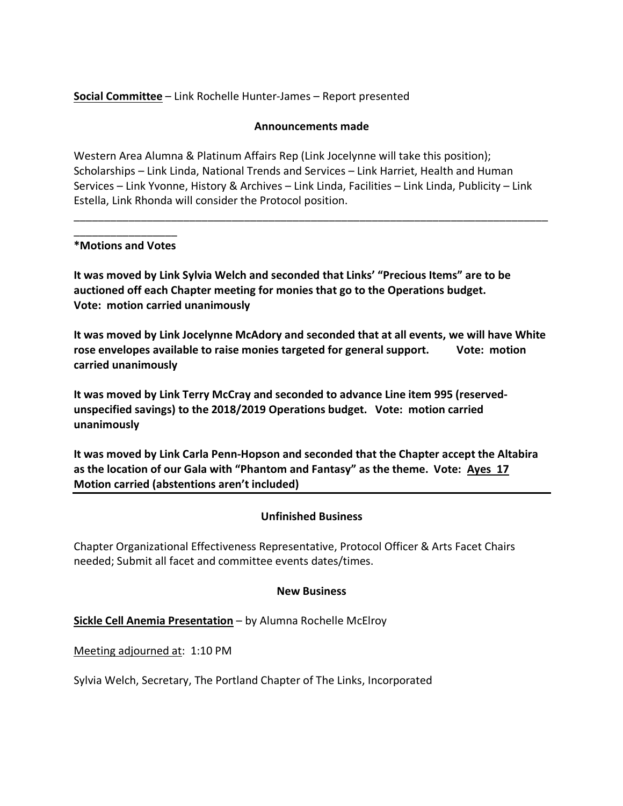**Social Committee** – Link Rochelle Hunter-James – Report presented

### **Announcements made**

Western Area Alumna & Platinum Affairs Rep (Link Jocelynne will take this position); Scholarships – Link Linda, National Trends and Services – Link Harriet, Health and Human Services – Link Yvonne, History & Archives – Link Linda, Facilities – Link Linda, Publicity – Link Estella, Link Rhonda will consider the Protocol position.

\_\_\_\_\_\_\_\_\_\_\_\_\_\_\_\_\_\_\_\_\_\_\_\_\_\_\_\_\_\_\_\_\_\_\_\_\_\_\_\_\_\_\_\_\_\_\_\_\_\_\_\_\_\_\_\_\_\_\_\_\_\_\_\_\_\_\_\_\_\_\_\_\_\_\_\_\_\_

### \_\_\_\_\_\_\_\_\_\_\_\_\_\_\_\_\_ **\*Motions and Votes**

**It was moved by Link Sylvia Welch and seconded that Links' "Precious Items" are to be auctioned off each Chapter meeting for monies that go to the Operations budget. Vote: motion carried unanimously**

**It was moved by Link Jocelynne McAdory and seconded that at all events, we will have White rose envelopes available to raise monies targeted for general support. Vote: motion carried unanimously**

**It was moved by Link Terry McCray and seconded to advance Line item 995 (reservedunspecified savings) to the 2018/2019 Operations budget. Vote: motion carried unanimously**

**It was moved by Link Carla Penn-Hopson and seconded that the Chapter accept the Altabira as the location of our Gala with "Phantom and Fantasy" as the theme. Vote: Ayes 17 Motion carried (abstentions aren't included)**

# **Unfinished Business**

Chapter Organizational Effectiveness Representative, Protocol Officer & Arts Facet Chairs needed; Submit all facet and committee events dates/times.

#### **New Business**

**Sickle Cell Anemia Presentation** – by Alumna Rochelle McElroy

Meeting adjourned at: 1:10 PM

Sylvia Welch, Secretary, The Portland Chapter of The Links, Incorporated